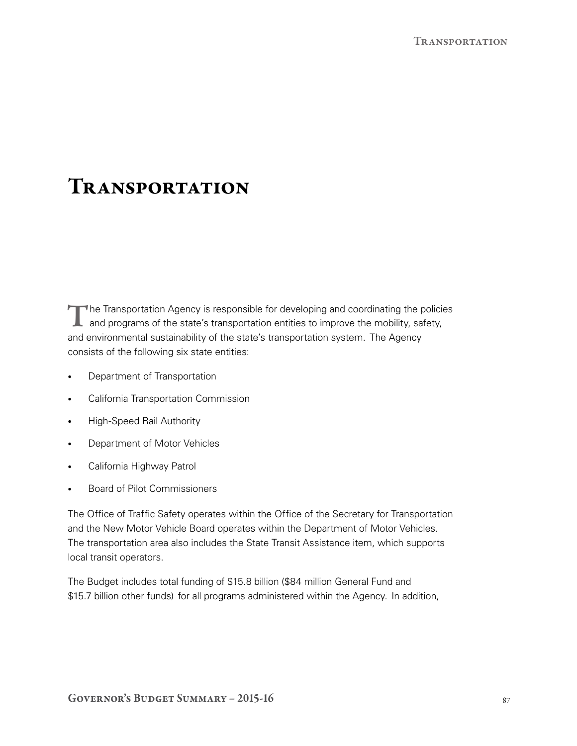# **TRANSPORTATION**

The Transportation Agency is responsible for developing and coordinating the policies and programs of the state's transportation entities to improve the mobility, safety, and environmental sustainability of the state's transportation system. The Agency consists of the following six state entities:

- • Department of Transportation
- • California Transportation Commission
- High-Speed Rail Authority
- • Department of Motor Vehicles
- • California Highway Patrol
- • Board of Pilot Commissioners

The Office of Traffic Safety operates within the Office of the Secretary for Transportation and the New Motor Vehicle Board operates within the Department of Motor Vehicles. The transportation area also includes the State Transit Assistance item, which supports local transit operators.

The Budget includes total funding of \$15.8 billion (\$84 million General Fund and \$15.7 billion other funds) for all programs administered within the Agency. In addition,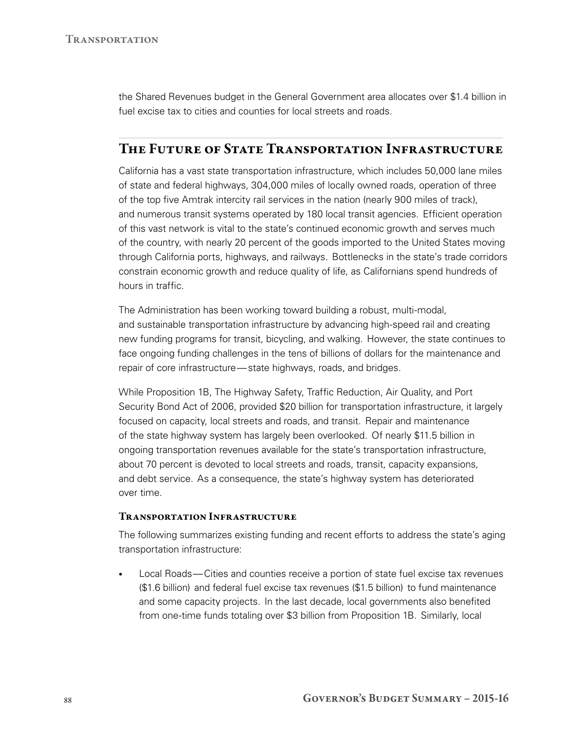the Shared Revenues budget in the General Government area allocates over \$1.4 billion in fuel excise tax to cities and counties for local streets and roads.

# The Future of State Transportation Infrastructure

California has a vast state transportation infrastructure, which includes 50,000 lane miles of state and federal highways, 304,000 miles of locally owned roads, operation of three of the top five Amtrak intercity rail services in the nation (nearly 900 miles of track), and numerous transit systems operated by 180 local transit agencies. Efficient operation of this vast network is vital to the state's continued economic growth and serves much of the country, with nearly 20 percent of the goods imported to the United States moving through California ports, highways, and railways. Bottlenecks in the state's trade corridors constrain economic growth and reduce quality of life, as Californians spend hundreds of hours in traffic.

The Administration has been working toward building a robust, multi-modal, and sustainable transportation infrastructure by advancing high-speed rail and creating new funding programs for transit, bicycling, and walking. However, the state continues to face ongoing funding challenges in the tens of billions of dollars for the maintenance and repair of core infrastructure—state highways, roads, and bridges.

While Proposition 1B, The Highway Safety, Traffic Reduction, Air Quality, and Port Security Bond Act of 2006, provided \$20 billion for transportation infrastructure, it largely focused on capacity, local streets and roads, and transit. Repair and maintenance of the state highway system has largely been overlooked. Of nearly \$11.5 billion in ongoing transportation revenues available for the state's transportation infrastructure, about 70 percent is devoted to local streets and roads, transit, capacity expansions, and debt service. As a consequence, the state's highway system has deteriorated over time.

### Transportation Infrastructure

The following summarizes existing funding and recent efforts to address the state's aging transportation infrastructure:

Local Roads—Cities and counties receive a portion of state fuel excise tax revenues (\$1.6 billion) and federal fuel excise tax revenues (\$1.5 billion) to fund maintenance and some capacity projects. In the last decade, local governments also benefited from one-time funds totaling over \$3 billion from Proposition 1B. Similarly, local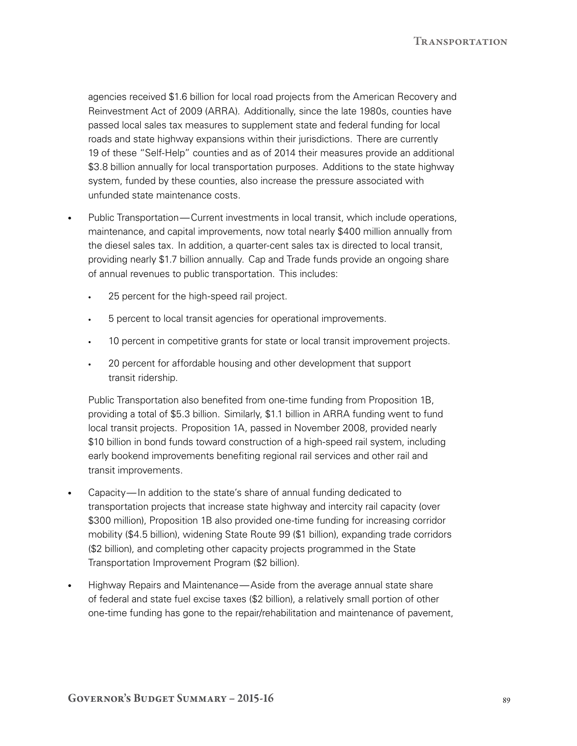**TRANSPORTATION** 

agencies received \$1.6 billion for local road projects from the American Recovery and Reinvestment Act of 2009 (ARRA). Additionally, since the late 1980s, counties have passed local sales tax measures to supplement state and federal funding for local roads and state highway expansions within their jurisdictions. There are currently 19 of these "Self‑Help" counties and as of 2014 their measures provide an additional \$3.8 billion annually for local transportation purposes. Additions to the state highway system, funded by these counties, also increase the pressure associated with unfunded state maintenance costs.

- Public Transportation—Current investments in local transit, which include operations, maintenance, and capital improvements, now total nearly \$400 million annually from the diesel sales tax. In addition, a quarter‑cent sales tax is directed to local transit, providing nearly \$1.7 billion annually. Cap and Trade funds provide an ongoing share of annual revenues to public transportation. This includes:
	- 25 percent for the high-speed rail project.
	- • 5 percent to local transit agencies for operational improvements.
	- • 10 percent in competitive grants for state or local transit improvement projects.
	- 20 percent for affordable housing and other development that support transit ridership.

Public Transportation also benefited from one‑time funding from Proposition 1B, providing a total of \$5.3 billion. Similarly, \$1.1 billion in ARRA funding went to fund local transit projects. Proposition 1A, passed in November 2008, provided nearly \$10 billion in bond funds toward construction of a high-speed rail system, including early bookend improvements benefiting regional rail services and other rail and transit improvements.

- Capacity—In addition to the state's share of annual funding dedicated to transportation projects that increase state highway and intercity rail capacity (over \$300 million), Proposition 1B also provided one-time funding for increasing corridor mobility (\$4.5 billion), widening State Route 99 (\$1 billion), expanding trade corridors (\$2 billion), and completing other capacity projects programmed in the State Transportation Improvement Program (\$2 billion).
- Highway Repairs and Maintenance—Aside from the average annual state share of federal and state fuel excise taxes (\$2 billion), a relatively small portion of other one‑time funding has gone to the repair/rehabilitation and maintenance of pavement,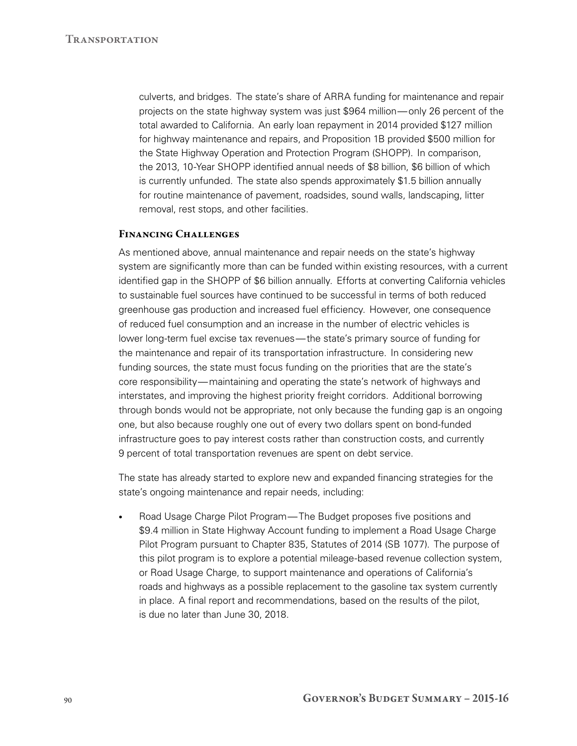culverts, and bridges. The state's share of ARRA funding for maintenance and repair projects on the state highway system was just \$964 million—only 26 percent of the total awarded to California. An early loan repayment in 2014 provided \$127 million for highway maintenance and repairs, and Proposition 1B provided \$500 million for the State Highway Operation and Protection Program (SHOPP). In comparison, the 2013, 10‑Year SHOPP identified annual needs of \$8 billion, \$6 billion of which is currently unfunded. The state also spends approximately \$1.5 billion annually for routine maintenance of pavement, roadsides, sound walls, landscaping, litter removal, rest stops, and other facilities.

## Financing Challenges

As mentioned above, annual maintenance and repair needs on the state's highway system are significantly more than can be funded within existing resources, with a current identified gap in the SHOPP of \$6 billion annually. Efforts at converting California vehicles to sustainable fuel sources have continued to be successful in terms of both reduced greenhouse gas production and increased fuel efficiency. However, one consequence of reduced fuel consumption and an increase in the number of electric vehicles is lower long‑term fuel excise tax revenues—the state's primary source of funding for the maintenance and repair of its transportation infrastructure. In considering new funding sources, the state must focus funding on the priorities that are the state's core responsibility—maintaining and operating the state's network of highways and interstates, and improving the highest priority freight corridors. Additional borrowing through bonds would not be appropriate, not only because the funding gap is an ongoing one, but also because roughly one out of every two dollars spent on bond-funded infrastructure goes to pay interest costs rather than construction costs, and currently 9 percent of total transportation revenues are spent on debt service.

The state has already started to explore new and expanded financing strategies for the state's ongoing maintenance and repair needs, including:

• Road Usage Charge Pilot Program—The Budget proposes five positions and \$9.4 million in State Highway Account funding to implement a Road Usage Charge Pilot Program pursuant to Chapter 835, Statutes of 2014 (SB 1077). The purpose of this pilot program is to explore a potential mileage‑based revenue collection system, or Road Usage Charge, to support maintenance and operations of California's roads and highways as a possible replacement to the gasoline tax system currently in place. A final report and recommendations, based on the results of the pilot, is due no later than June 30, 2018.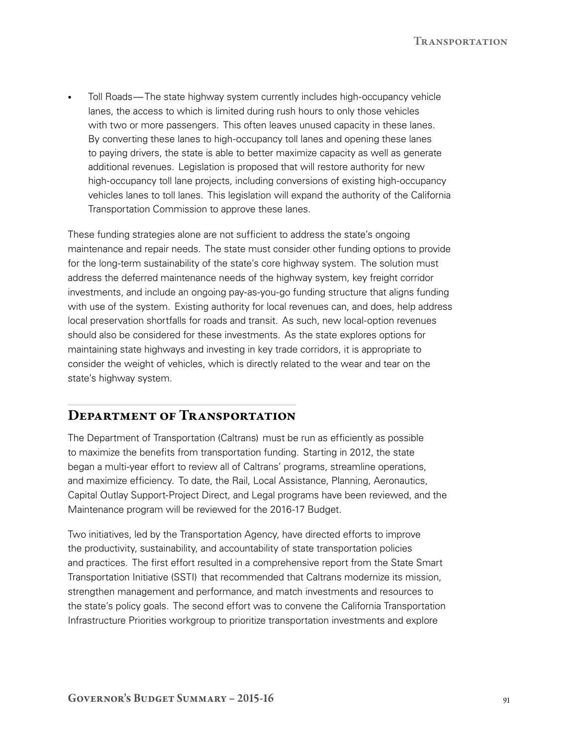**TRANSPORTATION** 

Toll Roads—The state highway system currently includes high-occupancy vehicle lanes, the access to which is limited during rush hours to only those vehicles with two or more passengers. This often leaves unused capacity in these lanes. By converting these lanes to high-occupancy toll lanes and opening these lanes to paying drivers, the state is able to better maximize capacity as well as generate additional revenues. Legislation is proposed that will restore authority for new high-occupancy toll lane projects, including conversions of existing high-occupancy vehicles lanes to toll lanes. This legislation will expand the authority of the California Transportation Commission to approve these lanes.

These funding strategies alone are not sufficient to address the state's ongoing maintenance and repair needs. The state must consider other funding options to provide for the long-term sustainability of the state's core highway system. The solution must address the deferred maintenance needs of the highway system, key freight corridor investments, and include an ongoing pay‑as‑you‑go funding structure that aligns funding with use of the system. Existing authority for local revenues can, and does, help address local preservation shortfalls for roads and transit. As such, new local-option revenues should also be considered for these investments. As the state explores options for maintaining state highways and investing in key trade corridors, it is appropriate to consider the weight of vehicles, which is directly related to the wear and tear on the state's highway system.

## DEPARTMENT OF TRANSPORTATION

The Department of Transportation (Caltrans) must be run as efficiently as possible to maximize the benefits from transportation funding. Starting in 2012, the state began a multi-year effort to review all of Caltrans' programs, streamline operations, and maximize efficiency. To date, the Rail, Local Assistance, Planning, Aeronautics, Capital Outlay Support‑Project Direct, and Legal programs have been reviewed, and the Maintenance program will be reviewed for the 2016‑17 Budget.

Two initiatives, led by the Transportation Agency, have directed efforts to improve the productivity, sustainability, and accountability of state transportation policies and practices. The first effort resulted in a comprehensive report from the State Smart Transportation Initiative (SSTI) that recommended that Caltrans modernize its mission, strengthen management and performance, and match investments and resources to the state's policy goals. The second effort was to convene the California Transportation Infrastructure Priorities workgroup to prioritize transportation investments and explore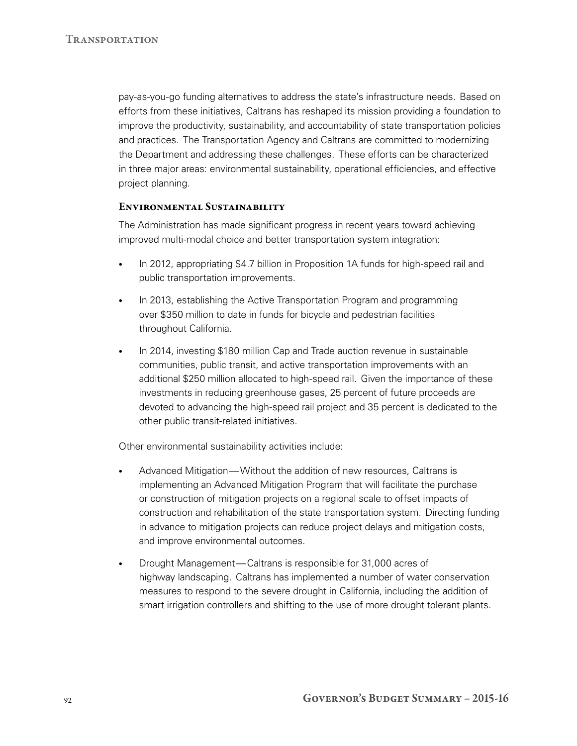pay‑as‑you‑go funding alternatives to address the state's infrastructure needs. Based on efforts from these initiatives, Caltrans has reshaped its mission providing a foundation to improve the productivity, sustainability, and accountability of state transportation policies and practices. The Transportation Agency and Caltrans are committed to modernizing the Department and addressing these challenges. These efforts can be characterized in three major areas: environmental sustainability, operational efficiencies, and effective project planning.

## Environmental Sustainability

The Administration has made significant progress in recent years toward achieving improved multi-modal choice and better transportation system integration:

- In 2012, appropriating \$4.7 billion in Proposition 1A funds for high-speed rail and public transportation improvements.
- In 2013, establishing the Active Transportation Program and programming over \$350 million to date in funds for bicycle and pedestrian facilities throughout California.
- In 2014, investing \$180 million Cap and Trade auction revenue in sustainable communities, public transit, and active transportation improvements with an additional \$250 million allocated to high-speed rail. Given the importance of these investments in reducing greenhouse gases, 25 percent of future proceeds are devoted to advancing the high‑speed rail project and 35 percent is dedicated to the other public transit‑related initiatives.

Other environmental sustainability activities include:

- Advanced Mitigation—Without the addition of new resources, Caltrans is implementing an Advanced Mitigation Program that will facilitate the purchase or construction of mitigation projects on a regional scale to offset impacts of construction and rehabilitation of the state transportation system. Directing funding in advance to mitigation projects can reduce project delays and mitigation costs, and improve environmental outcomes.
- Drought Management—Caltrans is responsible for 31,000 acres of highway landscaping. Caltrans has implemented a number of water conservation measures to respond to the severe drought in California, including the addition of smart irrigation controllers and shifting to the use of more drought tolerant plants.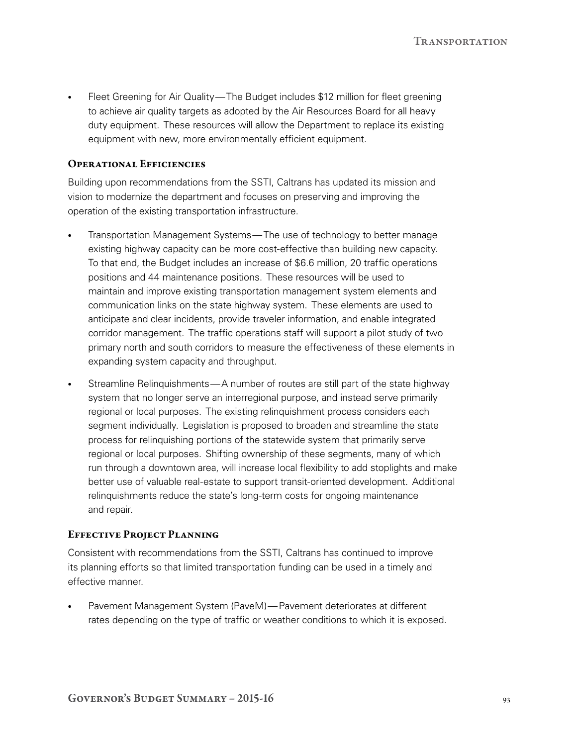Fleet Greening for Air Quality—The Budget includes \$12 million for fleet greening to achieve air quality targets as adopted by the Air Resources Board for all heavy duty equipment. These resources will allow the Department to replace its existing equipment with new, more environmentally efficient equipment.

#### Operational Efficiencies

Building upon recommendations from the SSTI, Caltrans has updated its mission and vision to modernize the department and focuses on preserving and improving the operation of the existing transportation infrastructure.

- Transportation Management Systems—The use of technology to better manage existing highway capacity can be more cost-effective than building new capacity. To that end, the Budget includes an increase of \$6.6 million, 20 traffic operations positions and 44 maintenance positions. These resources will be used to maintain and improve existing transportation management system elements and communication links on the state highway system. These elements are used to anticipate and clear incidents, provide traveler information, and enable integrated corridor management. The traffic operations staff will support a pilot study of two primary north and south corridors to measure the effectiveness of these elements in expanding system capacity and throughput.
- Streamline Relinquishments—A number of routes are still part of the state highway system that no longer serve an interregional purpose, and instead serve primarily regional or local purposes. The existing relinquishment process considers each segment individually. Legislation is proposed to broaden and streamline the state process for relinquishing portions of the statewide system that primarily serve regional or local purposes. Shifting ownership of these segments, many of which run through a downtown area, will increase local flexibility to add stoplights and make better use of valuable real-estate to support transit-oriented development. Additional relinquishments reduce the state's long-term costs for ongoing maintenance and repair.

#### Effective Project Planning

Consistent with recommendations from the SSTI, Caltrans has continued to improve its planning efforts so that limited transportation funding can be used in a timely and effective manner.

Pavement Management System (PaveM)—Pavement deteriorates at different rates depending on the type of traffic or weather conditions to which it is exposed.